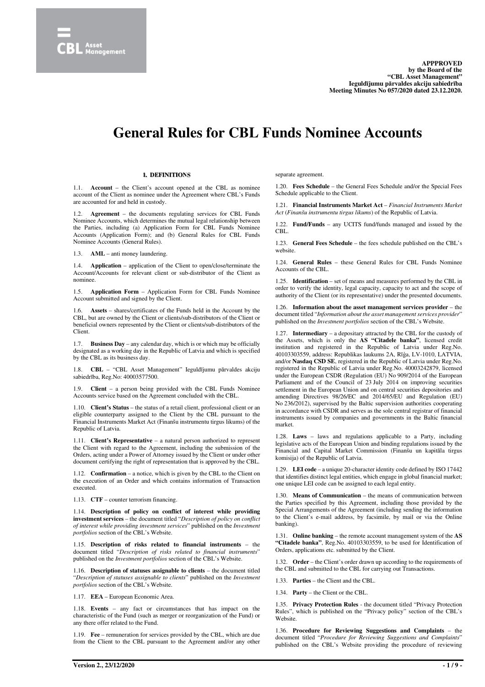

# **General Rules for CBL Funds Nominee Accounts**

# **1. DEFINITIONS**

1.1. **Account** – the Client's account opened at the CBL as nominee account of the Client as nominee under the Agreement where CBL's Funds are accounted for and held in custody.

1.2. **Agreement** – the documents regulating services for CBL Funds Nominee Accounts, which determines the mutual legal relationship between the Parties, including (a) Application Form for CBL Funds Nominee Accounts (Application Form); and (b) General Rules for CBL Funds Nominee Accounts (General Rules).

1.3. **AML** – anti money laundering.

1.4. **Application** – application of the Client to open/close/terminate the Account/Accounts for relevant client or sub-distributor of the Client as nominee.

1.5. **Application Form** – Application Form for CBL Funds Nominee Account submitted and signed by the Client.

Assets – shares/certificates of the Funds held in the Account by the CBL, but are owned by the Client or clients/sub-distributors of the Client or beneficial owners represented by the Client or clients/sub-distributors of the Client.

1.7. **Business Day** – any calendar day, which is or which may be officially designated as a working day in the Republic of Latvia and which is specified by the CBL as its business day.

1.8. **CBL** – "CBL Asset Management" Ieguldījumu pārvaldes akciju sabiedrība, Reg.No: 40003577500.

1.9. **Client** – a person being provided with the CBL Funds Nominee Accounts service based on the Agreement concluded with the CBL.

1.10. **Client's Status** – the status of a retail client, professional client or an eligible counterparty assigned to the Client by the CBL pursuant to the Financial Instruments Market Act (Finanšu instrumentu tirgus likums) of the Republic of Latvia.

1.11. **Client's Representative** – a natural person authorized to represent the Client with regard to the Agreement, including the submission of the Orders, acting under a Power of Attorney issued by the Client or under other document certifying the right of representation that is approved by the CBL.

1.12. **Confirmation** – a notice, which is given by the CBL to the Client on the execution of an Order and which contains information of Transaction executed.

1.13. **CTF** – counter terrorism financing.

1.14. **Description of policy on conflict of interest while providing investment services** – the document titled "*Description of policy on conflict of interest while providing investment services*" published on the *Investment portfolios* section of the CBL's Website.

1.15. **Description of risks related to financial instruments** – the document titled "*Description of risks related to financial instruments*" published on the *Investment portfolios* section of the CBL's Website.

1.16. **Description of statuses assignable to clients** – the document titled "*Description of statuses assignable to clients*" published on the *Investment portfolios* section of the CBL's Website.

1.17. **EEA** – European Economic Area.

1.18. **Events** – any fact or circumstances that has impact on the characteristic of the Fund (such as merger or reorganization of the Fund) or any there offer related to the Fund.

1.19. **Fee** – remuneration for services provided by the CBL, which are due from the Client to the CBL pursuant to the Agreement and/or any other separate agreement.

1.20. **Fees Schedule** – the General Fees Schedule and/or the Special Fees Schedule applicable to the Client.

1.21. **Financial Instruments Market Act** – *Financial Instruments Market Act* (*Finanšu instrumentu tirgus likums*) of the Republic of Latvia.

1.22. **Fund/Funds** – any UCITS fund/funds managed and issued by the CBL.

1.23. **General Fees Schedule** – the fees schedule published on the CBL's website.

1.24. **General Rules** – these General Rules for CBL Funds Nominee Accounts of the CBL.

1.25. **Identification** – set of means and measures performed by the CBL in order to verify the identity, legal capacity, capacity to act and the scope of authority of the Client (or its representative) under the presented documents.

1.26. **Information about the asset management services provider** – the document titled "*Information about the asset management services provider*" published on the *Investment portfolios* section of the CBL's Website.

1.27. **Intermediary** – a depositary attracted by the CBL for the custody of the Assets, which is only the **AS "Citadele banka"**, licensed credit institution and registered in the Republic of Latvia under Reg.No. 40103303559, address: Republikas laukums 2A, Rīģa, LV-1010, LATVIA, and/or **Nasdaq CSD SE**, registered in the Republic of Latvia under Reg.No. registered in the Republic of Latvia under Reg.No. 40003242879, licensed under the European CSDR (Regulation (EU) No 909/2014 of the European Parliament and of the Council of 23 July 2014 on improving securities settlement in the European Union and on central securities depositories and amending Directives 98/26/EC and 2014/65/EU and Regulation (EU) No 236/2012), supervised by the Baltic supervision authorities cooperating in accordance with CSDR and serves as the sole central registrar of financial instruments issued by companies and governments in the Baltic financial market.

1.28. **Laws** – laws and regulations applicable to a Party, including legislative acts of the European Union and binding regulations issued by the Financial and Capital Market Commission (Finanšu un kapitāla tirgus komisija) of the Republic of Latvia.

1.29. **LEI code** – a unique 20-character identity code defined by ISO 17442 that identifies distinct legal entities, which engage in global financial market; one unique LEI code can be assigned to each legal entity.

1.30. **Means of Communication** – the means of communication between the Parties specified by this Agreement, including those provided by the Special Arrangements of the Agreement (including sending the information to the Client's e-mail address, by facsimile, by mail or via the Online banking).

1.31. **Online banking** – the remote account management system of the **AS "Citadele banka"**, Reg.No. 40103303559, to be used for Identification of Orders, applications etc. submitted by the Client.

1.32. **Order** – the Client's order drawn up according to the requirements of the CBL and submitted to the CBL for carrying out Transactions.

1.33. **Parties** – the Client and the CBL.

1.34. **Party** – the Client or the CBL.

1.35. **Privacy Protection Rules** - the document titled "Privacy Protection Rules", which is published on the "Privacy policy" section of the CBL's Website.

1.36. **Procedure for Reviewing Suggestions and Complaints** – the document titled "*Procedure for Reviewing Suggestions and Complaints*" published on the CBL's Website providing the procedure of reviewing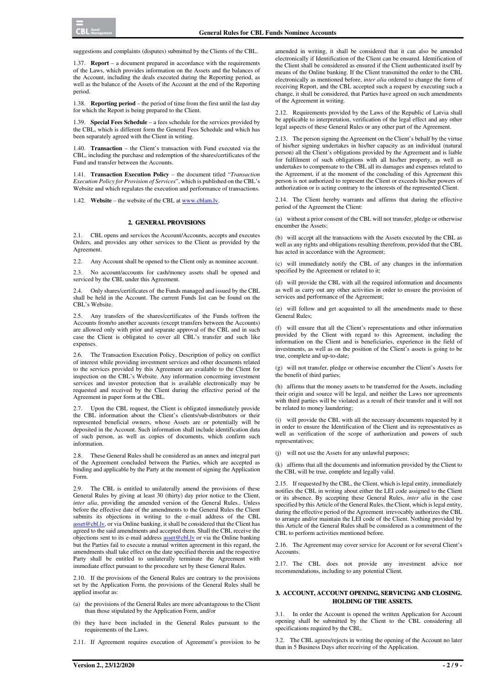suggestions and complaints (disputes) submitted by the Clients of the CBL.

1.37. **Report** – a document prepared in accordance with the requirements of the Laws, which provides information on the Assets and the balances of the Account, including the deals executed during the Reporting period, as well as the balance of the Assets of the Account at the end of the Reporting period.

1.38. **Reporting period** – the period of time from the first until the last day for which the Report is being prepared to the Client.

1.39. **Special Fees Schedule** – a fees schedule for the services provided by the CBL, which is different form the General Fees Schedule and which has been separately agreed with the Client in writing.

1.40. **Transaction** – the Client's transaction with Fund executed via the CBL, including the purchase and redemption of the shares/certificates of the Fund and transfer between the Accounts.

1.41. **Transaction Execution Policy** – the document titled "*Transaction Execution Policy for Provision of Services*", which is published on the CBL's Website and which regulates the execution and performance of transactions.

1.42. **Website** – the website of the CBL at www.cblam.lv.

#### **2. GENERAL PROVISIONS**

2.1. CBL opens and services the Account/Accounts, accepts and executes Orders, and provides any other services to the Client as provided by the Agreement.

2.2. Any Account shall be opened to the Client only as nominee account.

2.3. No account/accounts for cash/money assets shall be opened and serviced by the CBL under this Agreement.

2.4. Only shares/certificates of the Funds managed and issued by the CBL shall be held in the Account. The current Funds list can be found on the CBL's Website.

2.5. Any transfers of the shares/certificates of the Funds to/from the Accounts from/to another accounts (except transfers between the Accounts) are allowed only with prior and separate approval of the CBL and in such case the Client is obligated to cover all CBL's transfer and such like expenses.

2.6. The Transaction Execution Policy, Description of policy on conflict of interest while providing investment services and other documents related to the services provided by this Agreement are available to the Client for inspection on the CBL's Website. Any information concerning investment services and investor protection that is available electronically may be requested and received by the Client during the effective period of the Agreement in paper form at the CBL.

2.7. Upon the CBL request, the Client is obligated immediately provide the CBL information about the Client's clients/sub-distributors or their represented beneficial owners, whose Assets are or potentially will be deposited in the Account. Such information shall include identification data of such person, as well as copies of documents, which confirm such information.

2.8. These General Rules shall be considered as an annex and integral part of the Agreement concluded between the Parties, which are accepted as binding and applicable by the Party at the moment of signing the Application Form.

2.9. The CBL is entitled to unilaterally amend the provisions of these General Rules by giving at least 30 (thirty) day prior notice to the Client, *inter alia*, providing the amended version of the General Rules.. Unless before the effective date of the amendments to the General Rules the Client submits its objections in writing to the e-mail address of the CBL asset@cbl.lv, or via Online banking, it shall be considered that the Client has agreed to the said amendments and accepted them. Shall the CBL receive the objections sent to its e-mail address **asset@cbl.lv** or via the Online banking but the Parties fail to execute a mutual written agreement in this regard, the amendments shall take effect on the date specified therein and the respective Party shall be entitled to unilaterally terminate the Agreement with immediate effect pursuant to the procedure set by these General Rules.

2.10. If the provisions of the General Rules are contrary to the provisions set by the Application Form, the provisions of the General Rules shall be applied insofar as:

- (a) the provisions of the General Rules are more advantageous to the Client than those stipulated by the Application Form, and/or
- (b) they have been included in the General Rules pursuant to the requirements of the Laws.
- 2.11. If Agreement requires execution of Agreement's provision to be

amended in writing, it shall be considered that it can also be amended electronically if Identification of the Client can be ensured. Identification of the Client shall be considered as ensured if the Client authenticated itself by means of the Online banking. If the Client transmitted the order to the CBL electronically as mentioned before, *inter alia* ordered to change the form of receiving Report, and the CBL accepted such a request by executing such a change, it shall be considered, that Parties have agreed on such amendments of the Agreement in writing.

2.12. Requirements provided by the Laws of the Republic of Latvia shall be applicable to interpretation, verification of the legal effect and any other legal aspects of these General Rules or any other part of the Agreement.

2.13. The person signing the Agreement on the Client's behalf by the virtue of his/her signing undertakes in his/her capacity as an individual (natural person) all the Client's obligations provided by the Agreement and is liable for fulfilment of such obligations with all his/her property, as well as undertakes to compensate to the CBL all its damages and expenses related to the Agreement, if at the moment of the concluding of this Agreement this person is not authorized to represent the Client or exceeds his/her powers of authorization or is acting contrary to the interests of the represented Client.

2.14. The Client hereby warrants and affirms that during the effective period of the Agreement the Client:

(a) without a prior consent of the CBL will not transfer, pledge or otherwise encumber the Assets;

will accept all the transactions with the Assets executed by the CBL as well as any rights and obligations resulting therefrom, provided that the CBL has acted in accordance with the Agreement;

(c) will immediately notify the CBL of any changes in the information specified by the Agreement or related to it;

(d) will provide the CBL with all the required information and documents as well as carry out any other activities in order to ensure the provision of services and performance of the Agreement;

(e) will follow and get acquainted to all the amendments made to these General Rules;

(f) will ensure that all the Client's representations and other information provided by the Client with regard to this Agreement, including the information on the Client and is beneficiaries, experience in the field of investments, as well as on the position of the Client's assets is going to be true, complete and up-to-date;

(g) will not transfer, pledge or otherwise encumber the Client's Assets for the benefit of third parties;

(h) affirms that the money assets to be transferred for the Assets, including their origin and source will be legal, and neither the Laws nor agreements with third parties will be violated as a result of their transfer and it will not be related to money laundering;

(i) will provide the CBL with all the necessary documents requested by it in order to ensure the Identification of the Client and its representatives as well as verification of the scope of authorization and powers of such representatives;

(j) will not use the Assets for any unlawful purposes;

(k) affirms that all the documents and information provided by the Client to the CBL will be true, complete and legally valid.

2.15. If requested by the CBL, the Client, which is legal entity, immediately notifies the CBL in writing about either the LEI code assigned to the Client or its absence. By accepting these General Rules, *inter alia* in the case specified by this Article of the General Rules, the Client, which is legal entity, during the effective period of the Agreement irrevocably authorizes the CBL to arrange and/or maintain the LEI code of the Client. Nothing provided by this Article of the General Rules shall be considered as a commitment of the CBL to perform activities mentioned before.

2.16. The Agreement may cover service for Account or for several Client's Accounts.

2.17. The CBL does not provide any investment advice nor recommendations, including to any potential Client.

# **3. ACCOUNT, ACCOUNT OPENING, SERVICING AND CLOSING. HOLDING OF THE ASSETS.**

3.1. In order the Account is opened the written Application for Account opening shall be submitted by the Client to the CBL considering all specifications required by the CBL.

3.2. The CBL agrees/rejects in writing the opening of the Account no later than in 5 Business Days after receiving of the Application.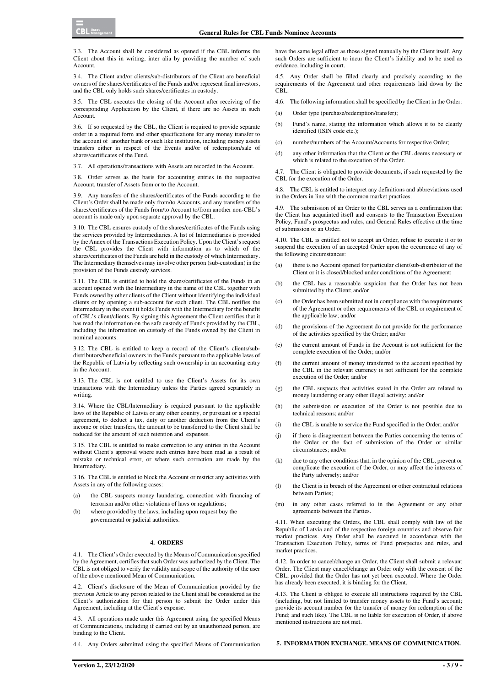$CRI$  Asset

3.3. The Account shall be considered as opened if the CBL informs the Client about this in writing, inter alia by providing the number of such Account.

3.4. The Client and/or clients/sub-distributors of the Client are beneficial owners of the shares/certificates of the Funds and/or represent final investors, and the CBL only holds such shares/certificates in custody.

3.5. The CBL executes the closing of the Account after receiving of the corresponding Application by the Client, if there are no Assets in such Account.

3.6. If so requested by the CBL, the Client is required to provide separate order in a required form and other specifications for any money transfer to the account of another bank or such like institution, including money assets transfers either in respect of the Events and/or of redemption/sale of shares/certificates of the Fund.

3.7. All operations/transactions with Assets are recorded in the Account.

3.8. Order serves as the basis for accounting entries in the respective Account, transfer of Assets from or to the Account.

3.9. Any transfers of the shares/certificates of the Funds according to the Client's Order shall be made only from/to Accounts, and any transfers of the shares/certificates of the Funds from/to Account to/from another non-CBL's account is made only upon separate approval by the CBL.

3.10. The CBL ensures custody of the shares/certificates of the Funds using the services provided by Intermediaries. A list of Intermediaries is provided by the Annex of the Transactions Execution Policy. Upon the Client's request the CBL provides the Client with information as to which of the shares/certificates of the Funds are held in the custody of which Intermediary. The Intermediary themselves may involve other person (sub-custodian) in the provision of the Funds custody services.

3.11. The CBL is entitled to hold the shares/certificates of the Funds in an account opened with the Intermediary in the name of the CBL together with Funds owned by other clients of the Client without identifying the individual clients or by opening a sub-account for each client. The CBL notifies the Intermediary in the event it holds Funds with the Intermediary for the benefit of CBL's client/clients. By signing this Agreement the Client certifies that it has read the information on the safe custody of Funds provided by the CBL, including the information on custody of the Funds owned by the Client in nominal accounts.

3.12. The CBL is entitled to keep a record of the Client's clients/subdistributors/beneficial owners in the Funds pursuant to the applicable laws of the Republic of Latvia by reflecting such ownership in an accounting entry in the Account.

3.13. The CBL is not entitled to use the Client's Assets for its own transactions with the Intermediary unless the Parties agreed separately in writing.

3.14. Where the CBL/Intermediary is required pursuant to the applicable laws of the Republic of Latvia or any other country, or pursuant or a special agreement, to deduct a tax, duty or another deduction from the Client's income or other transfers, the amount to be transferred to the Client shall be reduced for the amount of such retention and expenses.

3.15. The CBL is entitled to make correction to any entries in the Account without Client's approval where such entries have been mad as a result of mistake or technical error, or where such correction are made by the Intermediary.

3.16. The CBL is entitled to block the Account or restrict any activities with Assets in any of the following cases:

- (a) the CBL suspects money laundering, connection with financing of terrorism and/or other violations of laws or regulations;
- (b) where provided by the laws, including upon request buy the governmental or judicial authorities.

#### **4. ORDERS**

4.1. The Client's Order executed by the Means of Communication specified by the Agreement, certifies that such Order was authorized by the Client. The CBL is not obliged to verify the validity and scope of the authority of the user of the above mentioned Mean of Communication.

4.2. Client's disclosure of the Mean of Communication provided by the previous Article to any person related to the Client shall be considered as the Client's authorization for that person to submit the Order under this Agreement, including at the Client's expense.

4.3. All operations made under this Agreement using the specified Means of Communications, including if carried out by an unauthorized person, are binding to the Client.

4.4. Any Orders submitted using the specified Means of Communication

have the same legal effect as those signed manually by the Client itself. Any such Orders are sufficient to incur the Client's liability and to be used as evidence, including in court.

4.5. Any Order shall be filled clearly and precisely according to the requirements of the Agreement and other requirements laid down by the CBL.

- 4.6. The following information shall be specified by the Client in the Order:
- (a) Order type (purchase/redemption/transfer);
- (b) Fund's name, stating the information which allows it to be clearly identified (ISIN code etc.);
- (c) number/numbers of the Account/Accounts for respective Order;
- (d) any other information that the Client or the CBL deems necessary or which is related to the execution of the Order.

The Client is obligated to provide documents, if such requested by the CBL for the execution of the Order.

4.8. The CBL is entitled to interpret any definitions and abbreviations used in the Orders in line with the common market practices.

4.9. The submission of an Order to the CBL serves as a confirmation that the Client has acquainted itsefl and consents to the Transaction Execution Policy, Fund's prospectus and rules, and General Rules effective at the time of submission of an Order.

4.10. The CBL is entitled not to accept an Order, refuse to execute it or to suspend the execution of an accepted Order upon the occurrence of any of the following circumstances:

- (a) there is no Account opened for particular client/sub-distributor of the Client or it is closed/blocked under conditions of the Agreement;
- (b) the CBL has a reasonable suspicion that the Order has not been submitted by the Client; and/or
- (c) the Order has been submitted not in compliance with the requirements of the Agreement or other requirements of the CBL or requirement of the applicable law; and/or
- (d) the provisions of the Agreement do not provide for the performance of the activities specified by the Order; and/or
- (e) the current amount of Funds in the Account is not sufficient for the complete execution of the Order; and/or
- (f) the current amount of money transferred to the account specified by the CBL in the relevant currency is not sufficient for the complete execution of the Order; and/or
- (g) the CBL suspects that activities stated in the Order are related to money laundering or any other illegal activity; and/or
- (h) the submission or execution of the Order is not possible due to technical reasons; and/or
- (i) the CBL is unable to service the Fund specified in the Order; and/or
- (j) if there is disagreement between the Parties concerning the terms of the Order or the fact of submission of the Order or similar circumstances; and/or
- (k) due to any other conditions that, in the opinion of the CBL, prevent or complicate the execution of the Order, or may affect the interests of the Party adversely; and/or
- (l) the Client is in breach of the Agreement or other contractual relations between Parties;
- (m) in any other cases referred to in the Agreement or any other agreements between the Parties.

4.11. When executing the Orders, the CBL shall comply with law of the Republic of Latvia and of the respective foreign countries and observe fair market practices. Any Order shall be executed in accordance with the Transaction Execution Policy, terms of Fund prospectus and rules, and market practices.

4.12. In order to cancel/change an Order, the Client shall submit a relevant Order. The Client may cancel/change an Order only with the consent of the CBL, provided that the Order has not yet been executed. Where the Order has already been executed, it is binding for the Client.

4.13. The Client is obliged to execute all instructions required by the CBL (including, but not limited to transfer money assets to the Fund's account; provide its account number for the transfer of money for redemption of the Fund; and such like). The CBL is no liable for execution of Order, if above mentioned instructions are not met.

**5. INFORMATION EXCHANGE. MEANS OF COMMUNICATION.**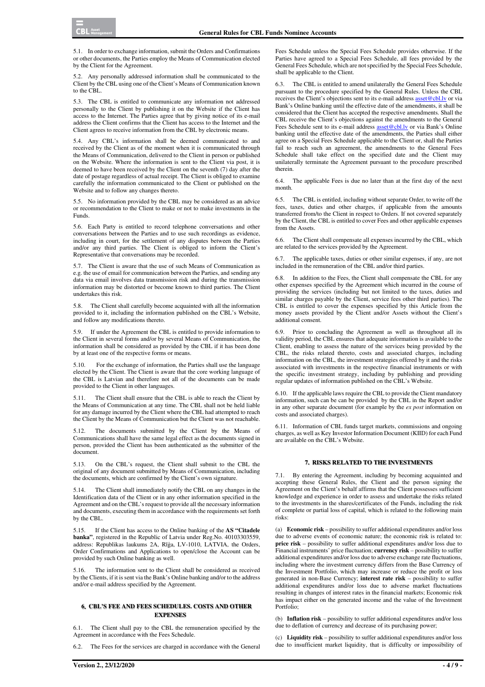5.1. In order to exchange information, submit the Orders and Confirmations or other documents, the Parties employ the Means of Communication elected by the Client for the Agreement.

5.2. Any personally addressed information shall be communicated to the Client by the CBL using one of the Client's Means of Communication known to the CBL.

5.3. The CBL is entitled to communicate any information not addressed personally to the Client by publishing it on the Website if the Client has access to the Internet. The Parties agree that by giving notice of its e-mail address the Client confirms that the Client has access to the Internet and the Client agrees to receive information from the CBL by electronic means.

5.4. Any CBL's information shall be deemed communicated to and received by the Client as of the moment when it is communicated through the Means of Communication, delivered to the Client in person or published on the Website. Where the information is sent to the Client via post, it is deemed to have been received by the Client on the seventh (7) day after the date of postage regardless of actual receipt. The Client is obliged to examine carefully the information communicated to the Client or published on the Website and to follow any changes thereto.

5.5. No information provided by the CBL may be considered as an advice or recommendation to the Client to make or not to make investments in the Funds.

5.6. Each Party is entitled to record telephone conversations and other conversations between the Parties and to use such recordings as evidence, including in court, for the settlement of any disputes between the Parties and/or any third parties. The Client is obliged to inform the Client's Representative that conversations may be recorded.

5.7. The Client is aware that the use of such Means of Communication as e.g. the use of email for communication between the Parties, and sending any data via email involves data transmission risk and during the transmission information may be distorted or become known to third parties. The Client undertakes this risk.

5.8. The Client shall carefully become acquainted with all the information provided to it, including the information published on the CBL's Website, and follow any modifications thereto.

If under the Agreement the CBL is entitled to provide information to the Client in several forms and/or by several Means of Communication, the information shall be considered as provided by the CBL if it has been done by at least one of the respective forms or means.

5.10. For the exchange of information, the Parties shall use the language elected by the Client. The Client is aware that the core working language of the CBL is Latvian and therefore not all of the documents can be made provided to the Client in other languages.

The Client shall ensure that the CBL is able to reach the Client by the Means of Communication at any time. The CBL shall not be held liable for any damage incurred by the Client where the CBL had attempted to reach the Client by the Means of Communication but the Client was not reachable.

5.12. The documents submitted by the Client by the Means of Communications shall have the same legal effect as the documents signed in person, provided the Client has been authenticated as the submitter of the document.

5.13. On the CBL's request, the Client shall submit to the CBL the original of any document submitted by Means of Communication, including the documents, which are confirmed by the Client's own signature.

5.14. The Client shall immediately notify the CBL on any changes in the Identification data of the Client or in any other information specified in the Agreement and on the CBL's request to provide all the necessary information and documents, executing them in accordance with the requirements set forth by the CBL.

5.15. If the Client has access to the Online banking of the **AS "Citadele banka"**, registered in the Republic of Latvia under Reg.No. 40103303559, address: Republikas laukums 2A, Rīģa, LV-1010, LATVIA, the Orders, Order Confirmations and Applications to open/close the Account can be provided by such Online banking as well.

5.16. The information sent to the Client shall be considered as received by the Clients, if it is sent via the Bank's Online banking and/or to the address and/or e-mail address specified by the Agreement.

# **6. CBL'S FEE AND FEES SCHEDULES. COSTS AND OTHER EXPENSES**

6.1. The Client shall pay to the CBL the remuneration specified by the Agreement in accordance with the Fees Schedule.

6.2. The Fees for the services are charged in accordance with the General

Fees Schedule unless the Special Fees Schedule provides otherwise. If the Parties have agreed to a Special Fees Schedule, all fees provided by the General Fees Schedule, which are not specified by the Special Fees Schedule, shall be applicable to the Client.

6.3. The CBL is entitled to amend unilaterally the General Fees Schedule pursuant to the procedure specified by the General Rules. Unless the CBL receives the Client's objections sent to its e-mail address asset@cbl.lv or via Bank's Online banking until the effective date of the amendments, it shall be considered that the Client has accepted the respective amendments. Shall the CBL receive the Client's objections against the amendments to the General Fees Schedule sent to its e-mail address asset@cbl.lv or via Bank's Online banking until the effective date of the amendments, the Parties shall either agree on a Special Fees Schedule applicable to the Client or, shall the Parties fail to reach such an agreement, the amendments to the General Fees Schedule shall take effect on the specified date and the Client may unilaterally terminate the Agreement pursuant to the procedure prescribed therein.

6.4. The applicable Fees is due no later than at the first day of the next month.

6.5. The CBL is entitled, including without separate Order, to write off the fees, taxes, duties and other charges, if applicable from the amounts transferred from/to the Client in respect to Orders. If not covered separately by the Client, the CBL is entitled to cover Fees and other applicable expenses from the Assets.

6.6. The Client shall compensate all expenses incurred by the CBL, which are related to the services provided by the Agreement.

6.7. The applicable taxes, duties or other similar expenses, if any, are not included in the remuneration of the CBL and/or third parties.

6.8. In addition to the Fees, the Client shall compensate the CBL for any other expenses specified by the Agreement which incurred in the course of providing the services (including but not limited to the taxes, duties and similar charges payable by the Client, service fees other third parties). The CBL is entitled to cover the expenses specified by this Article from the money assets provided by the Client and/or Assets without the Client's additional consent.

6.9. Prior to concluding the Agreement as well as throughout all its validity period, the CBL ensures that adequate information is available to the Client, enabling to assess the nature of the services being provided by the CBL, the risks related thereto, costs and associated charges, including information on the CBL, the investment strategies offered by it and the risks associated with investments in the respective financial instruments or with the specific investment strategy, including by publishing and providing regular updates of information published on the CBL's Website.

6.10. If the applicable laws require the CBL to provide the Client mandatory information, such can be can be provided by the CBL in the Report and/or in any other separate document (for example by the *ex post* information on costs and associated charges).

6.11. Information of CBL funds target markets, commissions and ongoing charges, as well as Key Investor Information Document (KIID) for each Fund are available on the CBL's Website.

#### **7. RISKS RELATED TO THE INVESTMENTS**

7.1. By entering the Agreement, including by becoming acquainted and accepting these General Rules, the Client and the person signing the Agreement on the Client's behalf affirms that the Client possesses sufficient knowledge and experience in order to assess and undertake the risks related to the investments in the shares/certificates of the Funds, including the risk of complete or partial loss of capital, which is related to the following main risks:

(a) **Economic risk** – possibility to suffer additional expenditures and/or loss due to adverse events of economic nature; the economic risk is related to: **price risk** – possibility to suffer additional expenditures and/or loss due to Financial instruments' price fluctuation; **currency risk** – possibility to suffer additional expenditures and/or loss due to adverse exchange rate fluctuations, including where the investment currency differs from the Base Currency of the Investment Portfolio, which may increase or reduce the profit or loss generated in non-Base Currency; **interest rate risk** – possibility to suffer additional expenditures and/or loss due to adverse market fluctuations resulting in changes of interest rates in the financial markets; Economic risk has impact either on the generated income and the value of the Investment Portfolio<sup>:</sup>

(b) **Inflation risk** – possibility to suffer additional expenditures and/or loss due to deflation of currency and decrease of its purchasing power;

(c) **Liquidity risk** – possibility to suffer additional expenditures and/or loss due to insufficient market liquidity, that is difficulty or impossibility of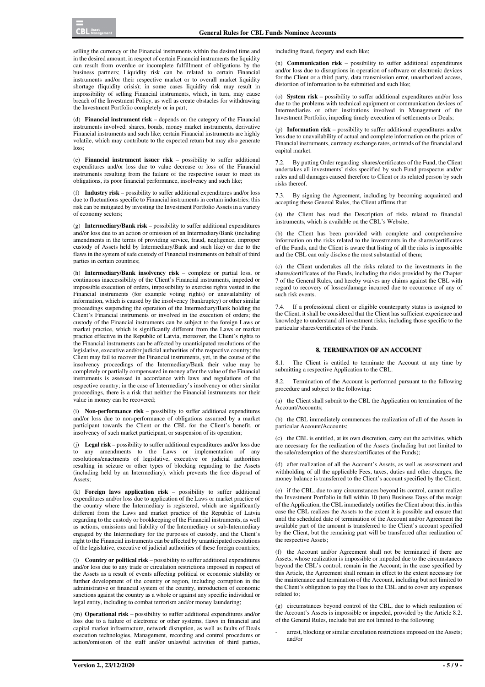selling the currency or the Financial instruments within the desired time and in the desired amount; in respect of certain Financial instruments the liquidity can result from overdue or incomplete fulfillment of obligations by the business partners; Liquidity risk can be related to certain Financial instruments and/or their respective market or to overall market liquidity shortage (liquidity crisis); in some cases liquidity risk may result in impossibility of selling Financial instruments, which, in turn, may cause breach of the Investment Policy, as well as create obstacles for withdrawing the Investment Portfolio completely or in part;

(d) **Financial instrument risk** – depends on the category of the Financial instruments involved: shares, bonds, money market instruments, derivative Financial instruments and such like; certain Financial instruments are highly volatile, which may contribute to the expected return but may also generate loss;

(e) **Financial instrument issuer risk** – possibility to suffer additional expenditures and/or loss due to value decrease or loss of the Financial instruments resulting from the failure of the respective issuer to meet its obligations, its poor financial performance, insolvency and such like;

(f) **Industry risk** – possibility to suffer additional expenditures and/or loss due to fluctuations specific to Financial instruments in certain industries; this risk can be mitigated by investing the Investment Portfolio Assets in a variety of economy sectors;

(g) **Intermediary/Bank risk** – possibility to suffer additional expenditures and/or loss due to an action or omission of an Intermediary/Bank (including amendments in the terms of providing service, fraud, negligence, improper custody of Assets held by Intermediary/Bank and such like) or due to the flaws in the system of safe custody of Financial instruments on behalf of third parties in certain countries;

(h) **Intermediary/Bank insolvency risk** – complete or partial loss, or continuous inaccessibility of the Client's Financial instruments, impeded or impossible execution of orders, impossibility to exercise rights vested in the Financial instruments (for example voting rights) or unavailability of information, which is caused by the insolvency (bankruptcy) or other similar proceedings suspending the operation of the Intermediary/Bank holding the Client's Financial instruments or involved in the execution of orders; the custody of the Financial instruments can be subject to the foreign Laws or market practice, which is significantly different from the Laws or market practice effective in the Republic of Latvia, moreover, the Client's rights to the Financial instruments can be affected by unanticipated resolutions of the legislative, executive and/or judicial authorities of the respective country; the Client may fail to recover the Financial instruments, yet, in the course of the insolvency proceedings of the Intermediary/Bank their value may be completely or partially compensated in money after the value of the Financial instruments is assessed in accordance with laws and regulations of the respective country; in the case of Intermediary's insolvency or other similar proceedings, there is a risk that neither the Financial instruments nor their value in money can be recovered;

(i) **Non-performance risk** – possibility to suffer additional expenditures and/or loss due to non-performance of obligations assumed by a market participant towards the Client or the CBL for the Client's benefit, or insolvency of such market participant, or suspension of its operation;

(j) **Legal risk** – possibility to suffer additional expenditures and/or loss due to any amendments to the Laws or implementation of any resolutions/enactments of legislative, executive or judicial authorities resulting in seizure or other types of blocking regarding to the Assets (including held by an Intermediary), which prevents the free disposal of Assets;

(k) **Foreign laws application risk** *–* possibility to suffer additional expenditures and/or loss due to application of the Laws or market practice of the country where the Intermediary is registered, which are significantly different from the Laws and market practice of the Republic of Latvia regarding to the custody or bookkeeping of the Financial instruments, as well as actions, omissions and liability of the Intermediary or sub-Intermediary engaged by the Intermediary for the purposes of custody, and the Client's right to the Financial instruments can be affected by unanticipated resolutions of the legislative, executive of judicial authorities of these foreign countries;

(l) **Country or political risk** – possibility to suffer additional expenditures and/or loss due to any trade or circulation restrictions imposed in respect of the Assets as a result of events affecting political or economic stability or further development of the country or region, including corruption in the administrative or financial system of the country, introduction of economic sanctions against the country as a whole or against any specific individual or legal entity, including to combat terrorism and/or money laundering;

(m) **Operational risk** – possibility to suffer additional expenditures and/or loss due to a failure of electronic or other systems, flaws in financial and capital market infrastructure, network disruption, as well as faults of Deals execution technologies, Management, recording and control procedures or action/omission of the staff and/or unlawful activities of third parties,

including fraud, forgery and such like;

(n) **Communication risk** – possibility to suffer additional expenditures and/or loss due to disruptions in operation of software or electronic devices for the Client or a third party, data transmission error, unauthorized access, distortion of information to be submitted and such like;

(o) **System risk** – possibility to suffer additional expenditures and/or loss due to the problems with technical equipment or communication devices of Intermediaries or other institutions involved in Management of the Investment Portfolio, impeding timely execution of settlements or Deals;

(p) **Information risk** – possibility to suffer additional expenditures and/or loss due to unavailability of actual and complete information on the prices of Financial instruments, currency exchange rates, or trends of the financial and capital market.

By putting Order regarding shares/certificates of the Fund, the Client undertakes all investments' risks specified by such Fund prospectus and/or rules and all damages caused therefore to Client or its related person by such risks thereof.

7.3. By signing the Agreement, including by becoming acquainted and accepting these General Rules, the Client affirms that:

(a) the Client has read the Description of risks related to financial instruments, which is available on the CBL's Website;

(b) the Client has been provided with complete and comprehensive information on the risks related to the investments in the shares/certificates of the Funds, and the Client is aware that listing of all the risks is impossible and the CBL can only disclose the most substantial of them;

(c) the Client undertakes all the risks related to the investments in the shares/certificates of the Funds, including the risks provided by the Chapter 7 of the General Rules, and hereby waives any claims against the CBL with regard to recovery of losses/damage incurred due to occurrence of any of such risk events.

7.4. If a professional client or eligible counterparty status is assigned to the Client, it shall be considered that the Client has sufficient experience and knowledge to understand all investment risks, including those specific to the particular shares/certificates of the Funds.

#### **8. TERMINATION OF AN ACCOUNT**

8.1. The Client is entitled to terminate the Account at any time by submitting a respective Application to the CBL.

8.2. Termination of the Account is performed pursuant to the following procedure and subject to the following:

(a) the Client shall submit to the CBL the Application on termination of the Account/Accounts;

(b) the CBL immediately commences the realization of all of the Assets in particular Account/Accounts;

(c) the CBL is entitled, at its own discretion, carry out the activities, which are necessary for the realization of the Assets (including but not limited to the sale/redemption of the shares/certificates of the Funds);

(d) after realization of all the Account's Assets, as well as assessment and withholding of all the applicable Fees, taxes, duties and other charges, the money balance is transferred to the Client's account specified by the Client;

(e) if the CBL, due to any circumstances beyond its control, cannot realize the Investment Portfolio in full within 10 (ten) Business Days of the receipt of the Application, the CBL immediately notifies the Client about this; in this case the CBL realizes the Assets to the extent it is possible and ensure that until the scheduled date of termination of the Account and/or Agreement the available part of the amount is transferred to the Client's account specified by the Client, but the remaining part will be transferred after realization of the respective Assets;

(f) the Account and/or Agreement shall not be terminated if there are Assets, whose realization is impossible or impeded due to the circumstances beyond the CBL's control, remain in the Account; in the case specified by this Article, the Agreement shall remain in effect to the extent necessary for the maintenance and termination of the Account, including but not limited to the Client's obligation to pay the Fees to the CBL and to cover any expenses related to;

(g) circumstances beyond control of the CBL, due to which realization of the Account's Assets is impossible or impeded, provided by the Article 8.2. of the General Rules, include but are not limited to the following

arrest, blocking or similar circulation restrictions imposed on the Assets; and/or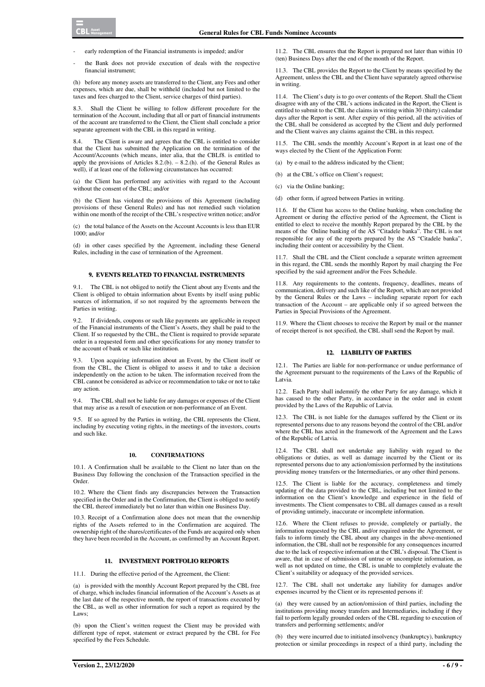- early redemption of the Financial instruments is impeded; and/or
- the Bank does not provide execution of deals with the respective financial instrument;

(h) before any money assets are transferred to the Client, any Fees and other expenses, which are due, shall be withheld (included but not limited to the taxes and fees charged to the Client, service charges of third parties).

8.3. Shall the Client be willing to follow different procedure for the termination of the Account, including that all or part of financial instruments of the account are transferred to the Client, the Client shall conclude a prior separate agreement with the CBL in this regard in writing.

8.4. The Client is aware and agrees that the CBL is entitled to consider that the Client has submitted the Application on the termination of the Account/Accounts (which means, inter alia, that the CBLf8. is entitled to apply the provisions of Articles  $8.2(b)$ . –  $8.2(h)$ . of the General Rules as well), if at least one of the following circumstances has occurred:

(a) the Client has performed any activities with regard to the Account without the consent of the CBL; and/or

(b) the Client has violated the provisions of this Agreement (including provisions of these General Rules) and has not remedied such violation within one month of the receipt of the CBL's respective written notice; and/or

(c) the total balance of the Assets on the Account Accounts is less than EUR 1000; and/or

(d) in other cases specified by the Agreement, including these General Rules, including in the case of termination of the Agreement.

## **9. EVENTS RELATED TO FINANCIAL INSTRUMENTS**

9.1. The CBL is not obliged to notify the Client about any Events and the Client is obliged to obtain information about Events by itself using public sources of information, if so not required by the agreements between the Parties in writing.

If dividends, coupons or such like payments are applicable in respect of the Financial instruments of the Client's Assets, they shall be paid to the Client. If so requested by the CBL, the Client is required to provide separate order in a requested form and other specifications for any money transfer to the account of bank or such like institution.

9.3. Upon acquiring information about an Event, by the Client itself or from the CBL, the Client is obliged to assess it and to take a decision independently on the action to be taken. The information received from the CBL cannot be considered as advice or recommendation to take or not to take any action.

9.4. The CBL shall not be liable for any damages or expenses of the Client that may arise as a result of execution or non-performance of an Event.

9.5. If so agreed by the Parties in writing, the CBL represents the Client, including by executing voting rights, in the meetings of the investors, courts and such like.

#### **10. CONFIRMATIONS**

10.1. A Confirmation shall be available to the Client no later than on the Business Day following the conclusion of the Transaction specified in the Order.

10.2. Where the Client finds any discrepancies between the Transaction specified in the Order and in the Confirmation, the Client is obliged to notify the CBL thereof immediately but no later than within one Business Day.

10.3. Receipt of a Confirmation alone does not mean that the ownership rights of the Assets referred to in the Confirmation are acquired. The ownership right of the shares/certificates of the Funds are acquired only when they have been recorded in the Account, as confirmed by an Account Report.

#### **11. INVESTMENT PORTFOLIO REPORTS**

11.1. During the effective period of the Agreement, the Client:

(a) is provided with the monthly Account Report prepared by the CBL free of charge, which includes financial information of the Account's Assets as at the last date of the respective month, the report of transactions executed by the CBL, as well as other information for such a report as required by the Laws:

(b) upon the Client's written request the Client may be provided with different type of repot, statement or extract prepared by the CBL for Fee specified by the Fees Schedule.

11.2. The CBL ensures that the Report is prepared not later than within 10 (ten) Business Days after the end of the month of the Report.

11.3. The CBL provides the Report to the Client by means specified by the Agreement, unless the CBL and the Client have separately agreed otherwise in writing.

11.4. The Client's duty is to go over contents of the Report. Shall the Client disagree with any of the CBL's actions indicated in the Report, the Client is entitled to submit to the CBL the claims in writing within  $30$  (thirty) calendar days after the Report is sent. After expiry of this period, all the activities of the CBL shall be considered as accepted by the Client and duly performed and the Client waives any claims against the CBL in this respect.

11.5. The CBL sends the monthly Account's Report in at least one of the ways elected by the Client of the Application Form:

(a) by e-mail to the address indicated by the Client;

(b) at the CBL's office on Client's request;

(c) via the Online banking;

(d) other form, if agreed between Parties in writing.

11.6. If the Client has access to the Online banking, when concluding the Agreement or during the effective period of the Agreement, the Client is entitled to elect to receive the monthly Report prepared by the CBL by the means of the Online banking of the AS "Citadele banka". The CBL is not responsible for any of the reports prepared by the AS "Citadele banka", including their content or accessibility by the Client.

11.7. Shall the CBL and the Client conclude a separate written agreement in this regard, the CBL sends the monthly Report by mail charging the Fee specified by the said agreement and/or the Fees Schedule.

11.8. Any requirements to the contents, frequency, deadlines, means of communication, delivery and such like of the Report, which are not provided by the General Rules or the Laws – including separate report for each transaction of the Account – are applicable only if so agreed between the Parties in Special Provisions of the Agreement.

11.9. Where the Client chooses to receive the Report by mail or the manner of receipt thereof is not specified, the CBL shall send the Report by mail.

#### **12. LIABILITY OF PARTIES**

12.1. The Parties are liable for non-performance or undue performance of the Agreement pursuant to the requirements of the Laws of the Republic of Latvia.

12.2. Each Party shall indemnify the other Party for any damage, which it has caused to the other Party, in accordance in the order and in extent provided by the Laws of the Republic of Latvia.

12.3. The CBL is not liable for the damages suffered by the Client or its represented persons due to any reasons beyond the control of the CBL and/or where the CBL has acted in the framework of the Agreement and the Laws of the Republic of Latvia.

12.4. The CBL shall not undertake any liability with regard to the obligations or duties, as well as damage incurred by the Client or its represented persons due to any action/omission performed by the institutions providing money transfers or the Intermediaries, or any other third persons.

12.5. The Client is liable for the accuracy, completeness and timely updating of the data provided to the CBL, including but not limited to the information on the Client's knowledge and experience in the field of investments. The Client compensates to CBL all damages caused as a result of providing untimely, inaccurate or incomplete information.

12.6. Where the Client refuses to provide, completely or partially, the information requested by the CBL and/or required under the Agreement, or fails to inform timely the CBL about any changes in the above-mentioned information, the CBL shall not be responsible for any consequences incurred due to the lack of respective information at the CBL's disposal. The Client is aware, that in case of submission of untrue or uncomplete information, as well as not updated on time, the CBL is unable to completely evaluate the Client's suitability or adequacy of the provided services.

12.7. The CBL shall not undertake any liability for damages and/or expenses incurred by the Client or its represented persons if:

(a) they were caused by an action/omission of third parties, including the institutions providing money transfers and Intermediaries, including if they fail to perform legally grounded orders of the CBL regarding to execution of transfers and performing settlements; and/or

(b) they were incurred due to initiated insolvency (bankruptcy), bankruptcy protection or similar proceedings in respect of a third party, including the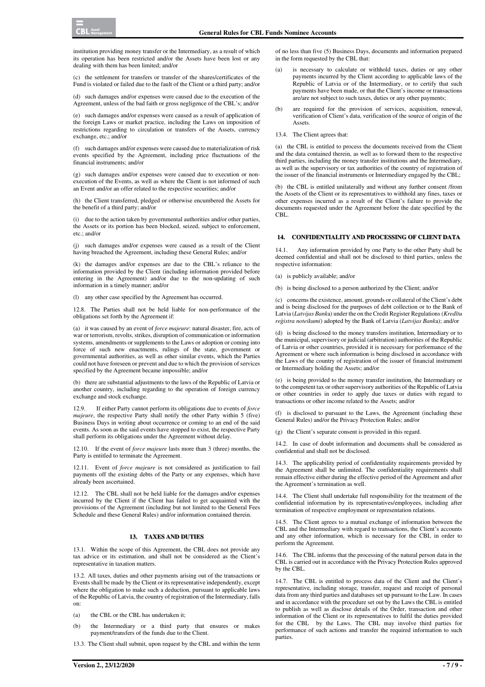institution providing money transfer or the Intermediary, as a result of which its operation has been restricted and/or the Assets have been lost or any dealing with them has been limited; and/or

(c) the settlement for transfers or transfer of the shares/certificates of the Fund is violated or failed due to the fault of the Client or a third party; and/or

(d) such damages and/or expenses were caused due to the execution of the Agreement, unless of the bad faith or gross negligence of the CBL's; and/or

(e) such damages and/or expenses were caused as a result of application of the foreign Laws or market practice, including the Laws on imposition of restrictions regarding to circulation or transfers of the Assets, currency exchange, etc.; and/or

(f) such damages and/or expenses were caused due to materialization of risk events specified by the Agreement, including price fluctuations of the financial instruments; and/or

(g) such damages and/or expenses were caused due to execution or nonexecution of the Events, as well as where the Client is not informed of such an Event and/or an offer related to the respective securities; and/or

(h) the Client transferred, pledged or otherwise encumbered the Assets for the benefit of a third party; and/or

(i) due to the action taken by governmental authorities and/or other parties, the Assets or its portion has been blocked, seized, subject to enforcement, etc.; and/or

(j) such damages and/or expenses were caused as a result of the Client having breached the Agreement, including these General Rules; and/or

(k) the damages and/or expenses are due to the CBL's reliance to the information provided by the Client (including information provided before entering in the Agreement) and/or due to the non-updating of such information in a timely manner; and/or

(l) any other case specified by the Agreement has occurred.

12.8. The Parties shall not be held liable for non-performance of the obligations set forth by the Agreement if:

(a) it was caused by an event of *force majeure*: natural disaster, fire, acts of war or terrorism, revolts, strikes, disruption of communication or information systems, amendments or supplements to the Laws or adoption or coming into force of such new enactments, rulings of the state, government or governmental authorities, as well as other similar events, which the Parties could not have foreseen or prevent and due to which the provision of services specified by the Agreement became impossible; and/or

(b) there are substantial adjustments to the laws of the Republic of Latvia or another country, including regarding to the operation of foreign currency exchange and stock exchange.

12.9. If either Party cannot perform its obligations due to events of *force majeure*, the respective Party shall notify the other Party within 5 (five) Business Days in writing about occurrence or coming to an end of the said events. As soon as the said events have stopped to exist, the respective Party shall perform its obligations under the Agreement without delay.

12.10. If the event of *force majeure* lasts more than 3 (three) months, the Party is entitled to terminate the Agreement.

12.11. Event of *force majeure* is not considered as justification to fail payments off the existing debts of the Party or any expenses, which have already been ascertained.

12.12. The CBL shall not be held liable for the damages and/or expenses incurred by the Client if the Client has failed to get acquainted with the provisions of the Agreement (including but not limited to the General Fees Schedule and these General Rules) and/or information contained therein.

#### **13. TAXES AND DUTIES**

13.1. Within the scope of this Agreement, the CBL does not provide any tax advice or its estimation, and shall not be considered as the Client's representative in taxation matters.

13.2. All taxes, duties and other payments arising out of the transactions or Events shall be made by the Client or its representative independently, except where the obligation to make such a deduction, pursuant to applicable laws of the Republic of Latvia, the country of registration of the Intermediary, falls on:

- (a) the CBL or the CBL has undertaken it:
- (b) the Intermediary or a third party that ensures or makes payment/transfers of the funds due to the Client.

13.3. The Client shall submit, upon request by the CBL and within the term

of no less than five (5) Business Days, documents and information prepared in the form requested by the CBL that:

- (a) is necessary to calculate or withhold taxes, duties or any other payments incurred by the Client according to applicable laws of the Republic of Latvia or of the Intermediary, or to certify that such payments have been made, or that the Client's income or transactions are/are not subject to such taxes, duties or any other payments;
- (b) are required for the provision of services, acquisition, renewal, verification of Client's data, verification of the source of origin of the **Assets.**

13.4. The Client agrees that:

(a) the CBL is entitled to process the documents received from the Client and the data contained therein, as well as to forward them to the respective third parties, including the money transfer institutions and the Intermediary, as well as the supervisory or tax authorities of the country of registration of the issuer of the financial instruments or Intermediary engaged by the CBL;

(b) the CBL is entitled unilaterally and without any further consent /from the Assets of the Client or its representatives to withhold any fines, taxes or other expenses incurred as a result of the Client's failure to provide the documents requested under the Agreement before the date specified by the CBL.

#### **14. CONFIDENTIALITY AND PROCESSING OF CLIENT DATA**

14.1. Any information provided by one Party to the other Party shall be deemed confidential and shall not be disclosed to third parties, unless the respective information:

(a) is publicly available; and/or

(b) is being disclosed to a person authorized by the Client; and/or

(c) concerns the existence, amount, grounds or collateral of the Client's debt and is being disclosed for the purposes of debt collection or to the Bank of Latvia (*Latvijas Bank*a) under the on the Credit Register Regulations (*Kredītu reģistra noteikumi*) adopted by the Bank of Latvia (*Latvijas Bank*a); and/or

(d) is being disclosed to the money transfers institution, Intermediary or to the municipal, supervisory or judicial (arbitration) authorities of the Republic of Latvia or other countries, provided it is necessary for performance of the Agreement or where such information is being disclosed in accordance with the Laws of the country of registration of the issuer of financial instrument or Intermediary holding the Assets; and/or

(e) is being provided to the money transfer institution, the Intermediary or to the competent tax or other supervisory authorities of the Republic of Latvia or other countries in order to apply due taxes or duties with regard to transactions or other income related to the Assets; and/or

(f) is disclosed to pursuant to the Laws, the Agreement (including these General Rules) and/or the Privacy Protection Rules; and/or

(g) the Client's separate consent is provided in this regard.

14.2. In case of doubt information and documents shall be considered as confidential and shall not be disclosed.

14.3. The applicability period of confidentiality requirements provided by the Agreement shall be unlimited. The confidentiality requirements shall remain effective either during the effective period of the Agreement and after the Agreement's termination as well.

14.4. The Client shall undertake full responsibility for the treatment of the confidential information by its representatives/employees, including after termination of respective employment or representation relations.

14.5. The Client agrees to a mutual exchange of information between the CBL and the Intermediary with regard to transactions, the Client's accounts and any other information, which is necessary for the CBL in order to perform the Agreement.

14.6. The CBL informs that the processing of the natural person data in the CBL is carried out in accordance with the Privacy Protection Rules approved by the CBL.

14.7. The CBL is entitled to process data of the Client and the Client's representative, including storage, transfer, request and receipt of personal data from any third parties and databases set up pursuant to the Law. In cases and in accordance with the procedure set out by the Laws the CBL is entitled to publish as well as disclose details of the Order, transaction and other information of the Client or its representatives to fulfil the duties provided for the CBL by the Laws. The CBL may involve third parties for performance of such actions and transfer the required information to such parties.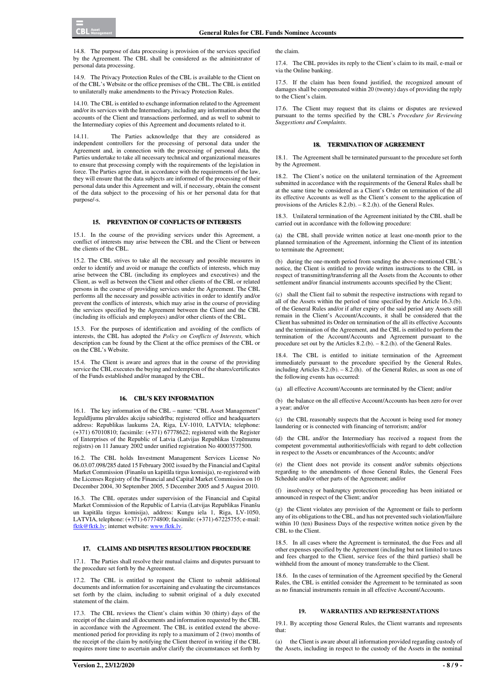14.8. The purpose of data processing is provision of the services specified by the Agreement. The CBL shall be considered as the administrator of personal data processing.

14.9. The Privacy Protection Rules of the CBL is available to the Client on of the CBL's Website or the office premises of the CBL. The CBL is entitled to unilaterally make amendments to the Privacy Protection Rules.

14.10. The CBL is entitled to exchange information related to the Agreement and/or its services with the Intermediary, including any information about the accounts of the Client and transactions performed, and as well to submit to the Intermediary copies of this Agreement and documents related to it.

14.11. The Parties acknowledge that they are considered as independent controllers for the processing of personal data under the Agreement and, in connection with the processing of personal data, the Parties undertake to take all necessary technical and organizational measures to ensure that processing comply with the requirements of the legislation in force. The Parties agree that, in accordance with the requirements of the law, they will ensure that the data subjects are informed of the processing of their personal data under this Agreement and will, if necessary, obtain the consent of the data subject to the processing of his or her personal data for that purpose/-s.

### **15. PREVENTION OF CONFLICTS OF INTERESTS**

15.1. In the course of the providing services under this Agreement, a conflict of interests may arise between the CBL and the Client or between the clients of the CBL.

15.2. The CBL strives to take all the necessary and possible measures in order to identify and avoid or manage the conflicts of interests, which may arise between the CBL (including its employees and executives) and the Client, as well as between the Client and other clients of the CBL or related persons in the course of providing services under the Agreement. The CBL performs all the necessary and possible activities in order to identify and/or prevent the conflicts of interests, which may arise in the course of providing the services specified by the Agreement between the Client and the CBL (including its officials and employees) and/or other clients of the CBL.

15.3. For the purposes of identification and avoiding of the conflicts of interests, the CBL has adopted the *Policy on Conflicts of Interests,* which description can be found by the Client at the office premises of the CBL or on the CBL's Website.

15.4. The Client is aware and agrees that in the course of the providing service the CBL executes the buying and redemption of the shares/certificates of the Funds established and/or managed by the CBL.

#### **16. CBL'S KEY INFORMATION**

16.1. The key information of the CBL – name: "CBL Asset Management" Ieguldījumu pārvaldes akciju sabiedrība; registered office and headquarters address: Republikas laukums 2A, Riga, LV-1010, LATVIA; telephone: (+371) 67010810; facsimile: (+371) 67778622; registered with the Register of Enterprises of the Republic of Latvia (Latvijas Republikas Uzņēmumu reģistrs) on 11 January 2002 under unified registration No 40003577500.

16.2. The CBL holds Investment Management Services License No 06.03.07.098/285 dated 15 February 2002 issued by the Financial and Capital Market Commission (Finanšu un kapitāla tirgus komisija), re-registered with the Licenses Registry of the Financial and Capital Market Commission on 10 December 2004, 30 September 2005, 5 December 2005 and 5 August 2010.

16.3. The CBL operates under supervision of the Financial and Capital Market Commission of the Republic of Latvia (Latvijas Republikas Finanšu un kapitāla tirgus komisija), address: Kungu iela 1, Riga, LV-1050, LATVIA, telephone: (+371)-67774800; facsimile: (+371)-67225755; e-mail: fktk@fktk.lv; internet website: www.fktk.lv.

# **17. CLAIMS AND DISPUTES RESOLUTION PROCEDURE**

17.1. The Parties shall resolve their mutual claims and disputes pursuant to the procedure set forth by the Agreement.

17.2. The CBL is entitled to request the Client to submit additional documents and information for ascertaining and evaluating the circumstances set forth by the claim, including to submit original of a duly executed statement of the claim.

17.3. The CBL reviews the Client's claim within 30 (thirty) days of the receipt of the claim and all documents and information requested by the CBL in accordance with the Agreement. The CBL is entitled extend the abovementioned period for providing its reply to a maximum of 2 (two) months of the receipt of the claim by notifying the Client thereof in writing if the CBL requires more time to ascertain and/or clarify the circumstances set forth by

17.4. The CBL provides its reply to the Client's claim to its mail, e-mail or via the Online banking.

17.5. If the claim has been found justified, the recognized amount of damages shall be compensated within 20 (twenty) days of providing the reply to the Client's claim.

17.6. The Client may request that its claims or disputes are reviewed pursuant to the terms specified by the CBL's *Procedure for Reviewing Suggestions and Complaints*.

#### **18. TERMINATION OF AGREEMENT**

18.1. The Agreement shall be terminated pursuant to the procedure set forth by the Agreement.

18.2. The Client's notice on the unilateral termination of the Agreement submitted in accordance with the requirements of the General Rules shall be at the same time be considered as a Client's Order on termination of the all its effective Accounts as well as the Client's consent to the application of provisions of the Articles 8.2.(b). – 8.2.(h). of the General Rules.

18.3. Unilateral termination of the Agreement initiated by the CBL shall be carried out in accordance with the following procedure:

(a) the CBL shall provide written notice at least one-month prior to the planned termination of the Agreement, informing the Client of its intention to terminate the Agreement;

(b) during the one-month period from sending the above-mentioned CBL's notice, the Client is entitled to provide written instructions to the CBL in respect of transmitting/transferring all the Assets from the Accounts to other settlement and/or financial instruments accounts specified by the Client;

(c) shall the Client fail to submit the respective instructions with regard to all of the Assets within the period of time specified by the Article 16.3.(b). of the General Rules and/or if after expiry of the said period any Assets still remain in the Client's Account/Accounts, it shall be considered that the Client has submitted its Order on termination of the all its effective Accounts and the termination of the Agreement, and the CBL is entitled to perform the termination of the Account/Accounts and Agreement pursuant to the procedure set out by the Articles 8.2.(b). – 8.2.(h). of the General Rules.

18.4. The CBL is entitled to initiate termination of the Agreement immediately pursuant to the procedure specified by the General Rules, including Articles 8.2.(b). – 8.2.(h). of the General Rules, as soon as one of the following events has occurred:

(a) all effective Account/Accounts are terminated by the Client; and/or

(b) the balance on the all effective Account/Accounts has been zero for over a year; and/or

(c) the CBL reasonably suspects that the Account is being used for money laundering or is connected with financing of terrorism; and/or

(d) the CBL and/or the Intermediary has received a request from the competent governmental authorities/officials with regard to debt collection in respect to the Assets or encumbrances of the Accounts; and/or

(e) the Client does not provide its consent and/or submits objections regarding to the amendments of those General Rules, the General Fees Schedule and/or other parts of the Agreement; and/or

(f) insolvency or bankruptcy protection proceeding has been initiated or announced in respect of the Client; and/or

(g) the Client violates any provision of the Agreement or fails to perform any of its obligations to the CBL, and has not prevented such violation/failure within 10 (ten) Business Days of the respective written notice given by the CBL to the Client.

18.5. In all cases where the Agreement is terminated, the due Fees and all other expenses specified by the Agreement (including but not limited to taxes and fees charged to the Client, service fees of the third parties) shall be withheld from the amount of money transferrable to the Client.

18.6. In the cases of termination of the Agreement specified by the General Rules, the CBL is entitled consider the Agreement to be terminated as soon as no financial instruments remain in all effective Account/Accounts.

## **19. WARRANTIES AND REPRESENTATIONS**

19.1. By accepting those General Rules, the Client warrants and represents that:

(a) the Client is aware about all information provided regarding custody of the Assets, including in respect to the custody of the Assets in the nominal